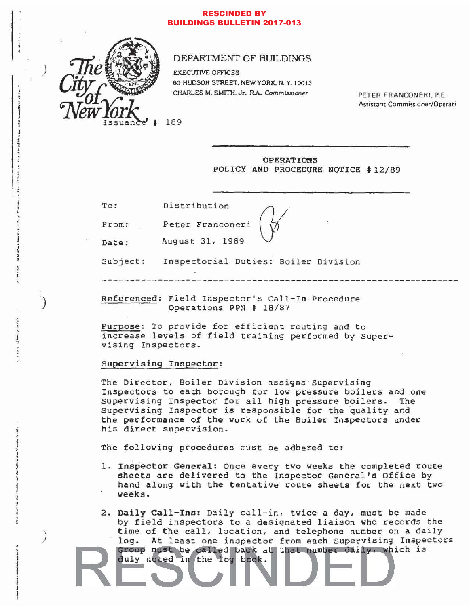### **RESCINDED BY BUILDINGS BULLETIN 2017-013**



## DEPARTMENT OF BUILDINGS

**EXECUTIVE OFFICES** 60 HUDSON STREET, NEW YORK, N.Y. 10013 CHARLES M. SMITH. Jr., R.A., Commissioner

PETER FRANCONERI, P.E. Assistant Commissioner/Operati

**OPERATIONS** POLICY AND PROCEDURE NOTICE #12/89

| To: | Distribution |
|-----|--------------|
|     |              |

From: Peter Franconeri

Date:

to aid for the factor pro-

August 31, 1989

Subject: Inspectorial Duties: Boiler Division

Referenced: Field Inspector's Call-In-Procedure Operations PPN # 18/87

Purpose: To provide for efficient routing and to increase levels of field training performed by Supervising Inspectors.

# Supervising Inspector:

The Director, Boiler Division assigns Supervising Inspectors to each borough for low pressure boilers and one Supervising Inspector for all high pressure boilers. The Supervising Inspector is responsible for the quality and the performance of the work of the Boiler Inspectors under his direct supervision.

The following procedures must be adhered to:

- 1. Inspector General: Once every two weeks the completed route sheets are delivered to the Inspector General's Office by hand along with the tentative route sheets for the next two weeks.
- 2. Daily Call-Ins: Daily call-in, twice a day, must be made by field inspectors to a designated liaison who records the time of the call, location, and telephone number on a daily At least one inspector from each Supervising Inspectors log. Group must be called back at that number daily, which is duly noted in the log book.